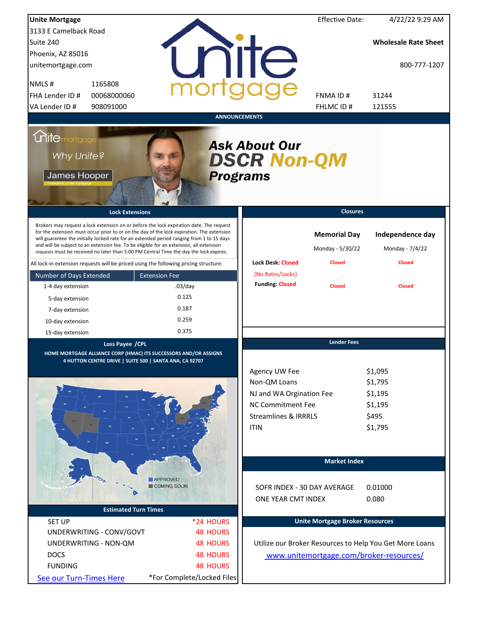| <b>Unite Mortgage</b>                                                                                                                                                                                                                                                                                                                                                                                                                                                  |                                                                                                                                  | <b>Effective Date:</b>                  | 4/22/22 9:29 AM                                              |
|------------------------------------------------------------------------------------------------------------------------------------------------------------------------------------------------------------------------------------------------------------------------------------------------------------------------------------------------------------------------------------------------------------------------------------------------------------------------|----------------------------------------------------------------------------------------------------------------------------------|-----------------------------------------|--------------------------------------------------------------|
| 3133 E Camelback Road                                                                                                                                                                                                                                                                                                                                                                                                                                                  |                                                                                                                                  |                                         |                                                              |
| Suite 240                                                                                                                                                                                                                                                                                                                                                                                                                                                              |                                                                                                                                  |                                         | <b>Wholesale Rate Sheet</b>                                  |
| Phoenix, AZ 85016                                                                                                                                                                                                                                                                                                                                                                                                                                                      |                                                                                                                                  |                                         |                                                              |
| unitemortgage.com                                                                                                                                                                                                                                                                                                                                                                                                                                                      | <b>ilTe</b>                                                                                                                      |                                         | 800-777-1207                                                 |
| NMLS#<br>1165808                                                                                                                                                                                                                                                                                                                                                                                                                                                       |                                                                                                                                  |                                         |                                                              |
| FHA Lender ID #<br>00068000060                                                                                                                                                                                                                                                                                                                                                                                                                                         |                                                                                                                                  | FNMA ID#                                | 31244                                                        |
| VA Lender ID #<br>908091000                                                                                                                                                                                                                                                                                                                                                                                                                                            |                                                                                                                                  | FHLMC ID#                               | 121555                                                       |
|                                                                                                                                                                                                                                                                                                                                                                                                                                                                        | <b>ANNOUNCEMENTS</b>                                                                                                             |                                         |                                                              |
| <i><b>Unitemortgage</b></i><br>Why Unite?<br>James Hooper                                                                                                                                                                                                                                                                                                                                                                                                              | <b>Ask About Our</b><br><b>DSCR Non-QM</b><br><b>Programs</b>                                                                    |                                         |                                                              |
| <b>Lock Extensions</b>                                                                                                                                                                                                                                                                                                                                                                                                                                                 |                                                                                                                                  | <b>Closures</b>                         |                                                              |
| Brokers may request a lock extension on or before the lock expiration date. The request<br>for the extension must occur prior to or on the day of the lock expiration. The extension<br>will guarantee the initially locked rate for an extended period ranging from 1 to 15 days<br>and will be subject to an extension fee. To be eligible for an extension, all extension<br>requests must be received no later than 5:00 PM Central Time the day the lock expires. |                                                                                                                                  | <b>Memorial Day</b><br>Monday - 5/30/22 | Independence day<br>Monday - 7/4/22                          |
| All lock-in extension requests will be priced using the following pricing structure:                                                                                                                                                                                                                                                                                                                                                                                   | <b>Lock Desk: Closed</b>                                                                                                         | <b>Closed</b>                           | <b>Closed</b>                                                |
| Number of Days Extended<br><b>Extension Fee</b>                                                                                                                                                                                                                                                                                                                                                                                                                        | (No Rates/Locks)<br><b>Funding: Closed</b>                                                                                       |                                         |                                                              |
| 1-4 day extension                                                                                                                                                                                                                                                                                                                                                                                                                                                      | $.03$ /day                                                                                                                       | <b>Closed</b>                           | <b>Closed</b>                                                |
| 5-day extension                                                                                                                                                                                                                                                                                                                                                                                                                                                        | 0.125                                                                                                                            |                                         |                                                              |
| 7-day extension                                                                                                                                                                                                                                                                                                                                                                                                                                                        | 0.187                                                                                                                            |                                         |                                                              |
| 10-day extension                                                                                                                                                                                                                                                                                                                                                                                                                                                       | 0.259                                                                                                                            |                                         |                                                              |
| 15-day extension                                                                                                                                                                                                                                                                                                                                                                                                                                                       | 0.375                                                                                                                            |                                         |                                                              |
| Loss Payee / CPL<br>HOME MORTGAGE ALLIANCE CORP (HMAC) ITS SUCCESSORS AND/OR ASSIGNS<br>4 HUTTON CENTRE DRIVE   SUITE 500   SANTA ANA, CA 92707                                                                                                                                                                                                                                                                                                                        | Agency UW Fee<br>Non-QM Loans<br>NJ and WA Orgination Fee<br>NC Commitment Fee<br><b>Streamlines &amp; IRRRLS</b><br><b>ITIN</b> | <b>Lender Fees</b>                      | \$1,095<br>\$1,795<br>\$1,195<br>\$1,195<br>\$495<br>\$1,795 |
|                                                                                                                                                                                                                                                                                                                                                                                                                                                                        |                                                                                                                                  | <b>Market Index</b>                     |                                                              |
| <b>APPROVED</b>                                                                                                                                                                                                                                                                                                                                                                                                                                                        |                                                                                                                                  |                                         |                                                              |
| COMING SOON                                                                                                                                                                                                                                                                                                                                                                                                                                                            |                                                                                                                                  | SOFR INDEX - 30 DAY AVERAGE             | 0.01000                                                      |
|                                                                                                                                                                                                                                                                                                                                                                                                                                                                        | ONE YEAR CMT INDEX                                                                                                               |                                         | 0.080                                                        |
| <b>Estimated Turn Times</b>                                                                                                                                                                                                                                                                                                                                                                                                                                            |                                                                                                                                  |                                         |                                                              |
| <b>SET UP</b>                                                                                                                                                                                                                                                                                                                                                                                                                                                          | *24 HOURS                                                                                                                        | <b>Unite Mortgage Broker Resources</b>  |                                                              |
| UNDERWRITING - CONV/GOVT                                                                                                                                                                                                                                                                                                                                                                                                                                               | <b>48 HOURS</b>                                                                                                                  |                                         |                                                              |
| UNDERWRITING - NON-QM                                                                                                                                                                                                                                                                                                                                                                                                                                                  | <b>48 HOURS</b>                                                                                                                  |                                         | Utilize our Broker Resources to Help You Get More Loans      |
| <b>DOCS</b>                                                                                                                                                                                                                                                                                                                                                                                                                                                            | <b>48 HOURS</b>                                                                                                                  | www.unitemortgage.com/broker-resources/ |                                                              |
| <b>FUNDING</b>                                                                                                                                                                                                                                                                                                                                                                                                                                                         | <b>48 HOURS</b>                                                                                                                  |                                         |                                                              |
| See our Turn-Times Here                                                                                                                                                                                                                                                                                                                                                                                                                                                | *For Complete/Locked Files                                                                                                       |                                         |                                                              |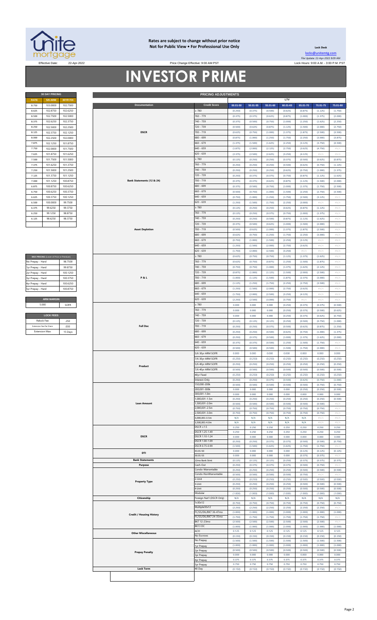

#### **Rates are subject to change without prior notice Not for Public View • For Professional Use Only**

Price Change Effective: 9:00 AM PST

**30 DAY PRICING PRICING ADJUSTMENTS**

**Lock Desk** [locks@unitemtg](mailto:locks@unitemtg.com).com File Update: 22-Apr-2022 8:09 AM Effective Date: 22-Apr-2022 Lock Hours: 9:00 A.M. - 3:00 P.M. PST

## **INVESTOR PRIME**

|             | <b>30 DAY PRICING</b> |                 |  |  |  |  |  |
|-------------|-----------------------|-----------------|--|--|--|--|--|
| <b>RATE</b> | <b>5/6 ARM</b>        | <b>30YR FIX</b> |  |  |  |  |  |
| 8.750       | 103.0000              | 102.7500        |  |  |  |  |  |
| 8.625       | 102.8750              | 102.6250        |  |  |  |  |  |
| 8.500       | 102.7500              | 102.5000        |  |  |  |  |  |
| 8.375       | 102.6250              | 102.3750        |  |  |  |  |  |
| 8.250       | 102.5000              | 102.2500        |  |  |  |  |  |
| 8.125       | 102.3750              | 102.1250        |  |  |  |  |  |
| 8.000       | 102.2500              | 102.0000        |  |  |  |  |  |
| 7.875       | 102 1250              | 1018750         |  |  |  |  |  |
| 7.750       | 102.0000              | 101.7500        |  |  |  |  |  |
| 7.625       | 101.8750              | 101.6250        |  |  |  |  |  |
| 7.500       | 1017500               | 101 5000        |  |  |  |  |  |
| 7.375       | 101.6250              | 101.3750        |  |  |  |  |  |
| 7.250       | 101.5000              | 101.2500        |  |  |  |  |  |
| 7.125       | 101.3750              | 101.1250        |  |  |  |  |  |
| 7.000       | 101.1250              | 100.8750        |  |  |  |  |  |
| 6.875       | 100.8750              | 100.6250        |  |  |  |  |  |
| 6.750       | 100.6250              | 100.3750        |  |  |  |  |  |
| 6.625       | 100.3750              | 100.1250        |  |  |  |  |  |
| 6.500       | 100,0000              | 99.7500         |  |  |  |  |  |
| 6.375       | 99.6250               | 99.3750         |  |  |  |  |  |
| 6.250       | 99 1250               | 98.8750         |  |  |  |  |  |
| 6.125       | 98.6250               | 98.3750         |  |  |  |  |  |
|             |                       |                 |  |  |  |  |  |

| MAX PRICING (Lower of Price or Premium) |          |
|-----------------------------------------|----------|
| No Prepay - Hard                        | 98 7500  |
| 1yr Prepay - Hard                       | 99.8750  |
| 2yr Prepay - Hard                       | 100 1250 |
| 3yr Prepay - Hard                       | 100.3750 |
| 4yr Prepay - Hard                       | 100.6250 |
| 5yr Prepay - Hard                       | 100.8750 |
|                                         |          |
| <b>ARM MARGIN</b>                       |          |
| 5.000                                   | SOFR     |
|                                         |          |
| <b>LOCK FEES</b>                        |          |
| Distante France                         |          |

| Relock Fee:             | 250     |
|-------------------------|---------|
| Extension Fee Per Diem: | 030     |
| <b>Extension Max:</b>   | 15 Days |
|                         |         |

| RATE                 | <b>5/6 ARM</b>                          | 30YR FIX |                                 |                           |              |              |          | LTV          |          |          |                            |
|----------------------|-----------------------------------------|----------|---------------------------------|---------------------------|--------------|--------------|----------|--------------|----------|----------|----------------------------|
| 8.750                | 103.0000                                | 102.7500 | <b>Documentation</b>            | <b>Credit Score</b>       | $00.01 - 50$ | $50.01 - 55$ | 55.01-60 | $60.01 - 65$ | 65.01-70 | 70.01-75 | 75.01-80                   |
| 8.625                | 102.8750                                | 102.6250 |                                 | 2780                      | (0.250)      | (0.375)      | (0.500)  | (0.625)      | (0.875)  | (1.125)  | (1.750)                    |
|                      |                                         |          |                                 |                           |              |              |          |              |          |          |                            |
| 8.500                | 102.7500                                | 102.5000 |                                 | 760 - 779                 | (0.375)      | (0.375)      | (0.625)  | (0.875)      | (1.000)  | (1.375)  | (2.000)                    |
| 8.375                | 102.6250                                | 102.3750 |                                 | 740 - 759                 | (0.375)      | (0.500)      | (0.750)  | (1.000)      | (1.250)  | (1.625)  | (2.250)                    |
| 8.250                |                                         |          |                                 | 720 - 739                 | (0.500)      | (0.625)      | (0.875)  | (1.125)      |          | (2.000)  |                            |
|                      | 102.5000                                | 102.2500 |                                 |                           |              |              |          |              | (1.500)  |          | (2.750)                    |
| 8.125                | 102.3750                                | 102.1250 | <b>DSCR</b>                     | 700 - 719                 | (0.625)      | (0.750)      | (1.000)  | (1.375)      | (1.875)  | (2.500)  | (3.500)                    |
| 8.000                | 102.2500                                | 102.0000 |                                 | 680 - 699                 | (0.875)      | (1.000)      | (1.250)  | (1.750)      | (2.250)  | (3.000)  | (3.875)                    |
| 7.875                | 102.1250                                | 101.8750 |                                 | 660 - 679                 | (1.375)      | (1.500)      | (1.625)  | (2.250)      | (3.125)  | (3.750)  | (4.500)                    |
|                      |                                         |          |                                 |                           |              |              |          |              |          |          |                            |
| 7.750                | 102.0000                                | 101.7500 |                                 | 640 - 659                 | (1.875)      | (2.000)      | (2.125)  | (2.750)      | (3.625)  | (4.750)  | #N/A                       |
| 7.625                | 101.8750                                | 101.6250 |                                 | 620 - 639                 | (2.375)      | (2.500)      | (2.625)  | (3.250)      | (4.125)  | #N/A     | $\#N/A$                    |
| 7.500                | 101.7500                                | 101.5000 |                                 | $\geq 780$                | (0.125)      | (0.250)      | (0.250)  | (0.375)      | (0.500)  | (0.625)  | (0.875)                    |
| 7.375                | 101.6250                                | 101.3750 |                                 | 760 - 779                 | (0.250)      | (0.250)      | (0.250)  | (0.500)      | (0.625)  | (0.750)  | (1.125)                    |
|                      |                                         |          |                                 |                           |              |              |          |              |          |          |                            |
| 7.250                | 101.5000                                | 101.2500 |                                 | 740 - 759                 | (0.250)      | (0.250)      | (0.250)  | (0.625)      | (0.750)  | (1.000)  | (1.375)                    |
| 7.125                | 101.3750                                | 101.1250 |                                 | 720 - 739                 | (0.250)      | (0.375)      | (0.375)  | (0.750)      | (0.875)  | (1.125)  | (1.625)                    |
| 7.000                | 101.1250                                | 100.8750 | Bank Statements (12 & 24)       | 700 - 719                 | (0.375)      | (0.375)      | (0.625)  | (0.875)      | (1.125)  | (1.500)  | (2.000)                    |
| 6.875                | 100.8750                                | 100.6250 |                                 | 680 - 699                 | (0.375)      | (0.500)      | (0.750)  | (1.000)      | (1.375)  | (1.750)  | (2.500)                    |
|                      |                                         |          |                                 |                           |              |              |          |              |          |          |                            |
| 6.750                | 100.6250                                | 100.3750 |                                 | 660 - 679                 | (0.500)      | (0.750)      | (1.000)  | (1.500)      | (2.250)  | (2.750)  | (3.500)                    |
| 6.625                | 100.3750                                | 100.1250 |                                 | 540 - 659                 | (0.750)      | (1.000)      | (1.250)  | (1.750)      | (2.500)  | (3.125)  | #N/A                       |
| 6.500                | 100.0000                                | 99.7500  |                                 | 620 - 639                 | (1.250)      | (1.500)      | (1.750)  | (2.250)      | (3.000)  | $\#N/A$  | $\#N/A$                    |
|                      |                                         |          |                                 | $\geq 780$                |              |              |          |              |          |          |                            |
| 6.375                | 99.6250                                 | 99.3750  |                                 |                           | (0.125)      | (0.250)      | (0.250)  | (0.625)      | (0.875)  | (1.125)  | $\# \mathbb{N}/\mathbb{A}$ |
| 6.250                | 99.1250                                 | 98.8750  |                                 | 760 - 779                 | (0.125)      | (0.250)      | (0.375)  | (0.750)      | (1.000)  | (1.375)  | #N/A                       |
| 6.125                | 98.6250                                 | 98.3750  |                                 | 740 - 759                 | (0.250)      | (0.250)      | (0.500)  | (0.875)      | (1.125)  | (1.625)  | #N/A                       |
|                      |                                         |          |                                 | 720 - 739                 | (0.375)      | (0.500)      | (0.625)  | (1.000)      | (1.500)  | (2.000)  | #N/A                       |
|                      |                                         |          |                                 |                           |              |              |          |              |          |          |                            |
|                      |                                         |          | <b>Asset Depletion</b>          | 700 - 719                 | (0.500)      | (0.625)      | (1.000)  | (1.375)      | (1.875)  | (2.500)  | #N/A                       |
|                      |                                         |          |                                 | 680 - 699                 | (0.625)      | (0.750)      | (1.250)  | (1.750)      | (2.250)  | (3.000)  | #N/A                       |
|                      |                                         |          |                                 | $660 - 679$               | (0.750)      | (1.000)      | (1.500)  | (2.250)      | (3.125)  | #N/A     | $\#N/A$                    |
|                      |                                         |          |                                 | 640 - 659                 | (1.250)      | (1.500)      | (2.000)  | (2.750)      | (3.625)  | #N/A     | #N/A                       |
|                      |                                         |          |                                 | 620 - 639                 | (1.750)      | (2.000)      | (2.500)  | (3.250)      | $\#N/A$  | #N/A     | $\#N/A$                    |
|                      |                                         |          |                                 |                           |              |              |          |              |          |          |                            |
|                      | MAX PRICING (Lower of Price or Premium) |          |                                 | $\geq 780$                | (0.625)      | (0.750)      | (0.750)  | (1.125)      | (1.375)  | (1.625)  | #N/A                       |
| No Prepay - Hard     |                                         | 98.7500  |                                 | 760 - 779                 | (0.625)      | (0.750)      | (0.875)  | (1.250)      | (1.500)  | (1.875)  | #N/A                       |
| 1yr Prepay - Hard    |                                         | 99.8750  |                                 | 740 - 759                 | (0.750)      | (0.750)      | (1.000)  | (1.375)      | (1.625)  | (2.125)  | #N/A                       |
|                      |                                         |          |                                 |                           |              |              |          |              |          |          |                            |
| 2yr Prepay - Hard    |                                         | 100.1250 |                                 | 720 - 739                 | (0.875)      | (1.000)      | (1.125)  | (1.500)      | (2.000)  | (2.500)  | $\# \mathbb{N}/\mathbb{A}$ |
| 3yr Prepay - Hard    |                                         | 100.3750 | <b>P&amp;L</b>                  | 700 - 719                 | (1.000)      | (1.125)      | (1.500)  | (1.875)      | (2.375)  | (3.000)  | #N/A                       |
| 4yr Prepay - Hard    |                                         | 100.6250 |                                 | 680 - 699                 | (1.125)      | (1.250)      | (1.750)  | (2.250)      | (2.750)  | (3.500)  | #N/A                       |
| 5yr Prepay - Hard    |                                         | 100.8750 |                                 | $660 - 679$               | (1.250)      | (1.500)      | (2.000)  | (2.750)      | (3.625)  | #N/A     | #N/A                       |
|                      |                                         |          |                                 | 640 - 659                 | (1.750)      | (2.000)      | (2.500)  | (3.250)      | (4.125)  | #N/A     | #N/A                       |
|                      |                                         |          |                                 |                           |              |              |          |              |          |          |                            |
|                      | <b>ARM MARGIN</b>                       |          |                                 | $620 - 639$               | (2.250)      | (2.500)      | (3.000)  | (3.750)      | $\#N/A$  | #N/A     | $\#N/A$                    |
| 5.000                |                                         | SOFR     |                                 | $\geq 780$                | 0.000        | 0.000        | 0.000    | (0.250)      | (0.375)  | (0.375)  | (0.500)                    |
|                      |                                         |          |                                 | 760 - 779                 | 0.000        | 0.000        | 0.000    | (0.250)      | (0.375)  | (0.500)  | (0.625)                    |
|                      | <b>LOCK FEES</b>                        |          |                                 | 740 - 759                 | 0.000        | 0.000        | 0.000    | (0.250)      | (0.375)  | (0.625)  | (0.750)                    |
|                      |                                         |          |                                 |                           |              |              |          |              |          |          |                            |
| Relock Fee:          |                                         | .250     |                                 | 720 - 739                 | (0.125)      | (0.125)      | (0.125)  | (0.250)      | (0.500)  | (0.750)  | (1.000)                    |
|                      | Extension Fee Per Diem                  | .030     | <b>Full Doc</b>                 | 700 - 719                 | (0.250)      | (0.250)      | (0.375)  | (0.500)      | (0.625)  | (0.875)  | (1.250)                    |
| <b>Extension Max</b> |                                         | 15 Days  |                                 | 680 - 699                 | (0.250)      | (0.250)      | (0.500)  | (0.625)      | (0.750)  | (1.000)  | (1.375)                    |
|                      |                                         |          |                                 | $660 - 679$               | (0.250)      | (0.375)      | (0.500)  | (1.000)      | (1.375)  | (1.625)  | (2.000)                    |
|                      |                                         |          |                                 |                           |              |              |          |              |          |          |                            |
|                      |                                         |          |                                 | 640 - 659                 | (0.375)      | (0.375)      | (0.500)  | (1.250)      | (1.500)  | (1.750)  | #N/A                       |
|                      |                                         |          |                                 | 520 - 639                 | (0.500)      | (0.500)      | (0.500)  | (1.500)      | (1.750)  | (2.000)  | #N/A                       |
|                      |                                         |          |                                 | 5/6 30yr ARM SOFR         | 0.000        | 0.000        | 0.000    | 0.000        | 0.000    | 0.000    | 0.000                      |
|                      |                                         |          |                                 | 7/6 30yr ARM SOFR         | (0.250)      | (0.250)      | (0.250)  | (0.250)      | (0.250)  | (0.250)  | (0.250)                    |
|                      |                                         |          |                                 |                           |              |              |          |              |          |          |                            |
|                      |                                         |          | Product                         | 5/6 40yr ARM SOFR         | (0.250)      | (0.250)      | (0.250)  | (0.250)      | (0.250)  | (0.250)  | (0.250)                    |
|                      |                                         |          |                                 | 7/6 40yr ARM SOFR         | (0.500)      | (0.500)      | (0.500)  | (0.500)      | (0.500)  | (0.500)  | (0.500)                    |
|                      |                                         |          |                                 | 40yr Fixed                | (0.250)      | (0.250)      | (0.250)  | (0.250)      | (0.250)  | (0.250)  | (0.250)                    |
|                      |                                         |          |                                 | Interest-Only             | (0.250)      | (0.250)      | (0.375)  | (0.500)      | (0.625)  | (0.750)  | (1.000)                    |
|                      |                                         |          |                                 | 150,000-200k              | (0.500)      | (0.500)      | (0.500)  | (0.500)      | (0.500)  | (0.750)  | (0.750)                    |
|                      |                                         |          |                                 | 200,001-300k              | 0.000        | 0.000        | 0.000    | 0.000        | (0.250)  | (0.250)  | (0.500)                    |
|                      |                                         |          |                                 | 300,001-1.0m              | 0.000        | 0.000        | 0.000    | 0.000        | 0.000    | 0.000    | 0.000                      |
|                      |                                         |          |                                 | 000,001-1.5m              | (0.250)      | (0.250)      | (0.250)  | (0.250)      | (0.250)  | (0.250)  |                            |
|                      |                                         |          | <b>Loan Amount</b>              | 1,500,001-2.0m            |              |              |          |              |          |          | (0.500)                    |
|                      |                                         |          |                                 | 2,000,001-2.5m            | (0.500)      | (0.500)      | (0.500)  | (0.500)      | (0.500)  | (0.500)  | $\#N/2$                    |
|                      |                                         |          |                                 |                           | (0.750)      | (0.750)      | (0.750)  | (0.750)      | (0.750)  | (0.750)  | #N/A                       |
|                      |                                         |          |                                 | 2,500,001-3.0m            | (0.750)      | (0.750)      | (0.750)  | (0.750)      | (0.750)  | (0.750)  | #N/ $/$                    |
|                      |                                         |          |                                 | 000,001-3.5m              | N/A          | N/A          | N/A      | N/A          | N/A      | #N/A     | #N/A                       |
|                      |                                         |          |                                 | 500,001-4.0m              | N/A          | N/A          | N/A      | N/A          | N/A      | #N/A     | $\#N/2$                    |
|                      |                                         |          |                                 | $DSCR \geq 1.5$           | 0.250        | 0.250        | 0.250    | 0.250        | 0.250    | 0.250    | 0.250                      |
|                      |                                         |          |                                 | DSCR 1.25-1.49            | 0.250        | 0.250        | 0.250    | 0.250        | 0.250    | 0.250    | 0.250                      |
|                      |                                         |          | <b>DSCR</b>                     | DSCR 1.10-1.24            | 0.000        | 0.000        | 0.000    | 0.000        | 0.000    | 0.000    | 0.000                      |
|                      |                                         |          |                                 | DSCR 1.00-1.09            | (0.250)      | (0.250)      | (0.375)  | (0.375)      | (0.500)  | (0.500)  | (0.750)                    |
|                      |                                         |          |                                 | DSCR 0.75-0.99            | (1.500)      | (1.500)      | (1.625)  | (1.625)      | (1.750)  | (1.750)  | $\#N$                      |
|                      |                                         |          | DTI                             | 43.01-50                  | 0.000        | 0.000        | 0.000    | 0.000        | (0.125)  | (0.125)  | (0.125)                    |
|                      |                                         |          |                                 | 50.01-55                  | 0.000        | 0.000        | 0.000    | 0.000        | (0.375)  | (0.375)  | #N/A                       |
|                      |                                         |          | <b>Bank Statements</b>          | 12mo Bank Stmt            | (0.125)      | (0.125)      | (0.125)  | (0.250)      | (0.375)  | (0.375)  | (0.375)                    |
|                      |                                         |          | Purpose                         | Cash-Out                  | (0.250)      | (0.375)      | (0.375)  | (0.375)      | (0.500)  | (0.750)  | #N/ $\rho$                 |
|                      |                                         |          |                                 | Condo-Warrantable         | (0.250)      | (0.250)      | (0.250)  | (0.250)      | (0.500)  | (0.500)  | (0.500)                    |
|                      |                                         |          |                                 | Condo-NonWarrantable      | (0.500)      | (0.500)      | (0.500)  | (0.500)      | (0.750)  | #N/A     | #N/A                       |
|                      |                                         |          |                                 | 2-Unit                    | (0.250)      | (0.250)      | (0.250)  | (0.250)      | (0.500)  | (0.500)  | (0.500)                    |
|                      |                                         |          | <b>Property Type</b>            | 3-Unit                    | (0.250)      | (0.250)      | (0.250)  | (0.250)      | (0.500)  | (0.500)  | (0.500)                    |
|                      |                                         |          |                                 | 4-Unit                    | (0.250)      | (0.250)      | (0.250)  | (0.250)      | (0.500)  | (0.500)  | (0.500)                    |
|                      |                                         |          |                                 | Modular                   | (1.000)      | (1.000)      | (1.000)  | (1.000)      | (1.000)  | (1.000)  | (1.000)                    |
|                      |                                         |          | Citizenship                     | Foreign Nat'l (DSCR Only) | N/A          | N/A          | N/A      | N/A          | N/A      | N/A      | N/A                        |
|                      |                                         |          |                                 | 1x30x12                   | (0.750)      | (0.750)      | (0.750)  | (0.750)      | (0.750)  | (0.750)  | (0.750)                    |
|                      |                                         |          |                                 | Multiple30x12             | (2.250)      | (2.250)      | (2.250)  | (2.250)      | (2.250)  | (2.250)  | $\#N/F$                    |
|                      |                                         |          |                                 | FC/SS/DIL/BK7 36-47mo     |              |              |          |              |          |          |                            |
|                      |                                         |          | <b>Credit / Housing History</b> | FC/SS/DIL/BK7 24-35mo     | (1.000)      | (1.000)      | (1.000)  | (1.000)      | (1.000)  | (1.000)  | (1.000)                    |
|                      |                                         |          |                                 | BK7 12-23mo               | (1.750)      | (1.750)      | (1.750)  | (1.750)      | (1.750)  | (1.750)  | $\#N/A$                    |
|                      |                                         |          |                                 | BK13 DC                   | (2.500)      | (2.500)      | (2.500)  | (2.500)      | (2.500)  | (2.500)  | $\#N/$                     |
|                      |                                         |          |                                 |                           | (1.000)      | (1.000)      | (1.000)  | (1.000)      | (1.000)  | (1.000)  | (1.000)                    |
|                      |                                         |          | <b>Other Miscellaneous</b>      | ACH                       | 0.125        | 0.125        | 0.125    | 0.125        | 0.125    | 0.125    | 0.125                      |
|                      |                                         |          |                                 | No Escrows                | (0.150)      | (0.150)      | (0.150)  | (0.150)      | (0.150)  | (0.150)  | (0.150)                    |
|                      |                                         |          |                                 | No Prepay                 | (1.500)      | (1.500)      | (1.500)  | (1.500)      | (1.500)  | (1.500)  | (1.500)                    |
|                      |                                         |          |                                 | 1yr Prepay                | (1.000)      | (1.000)      | (1.000)  | (1.000)      | (1.000)  | (1.000)  | (1.000)                    |
|                      |                                         |          | <b>Prepay Penalty</b>           | 2yr Prepay                | (0.500)      | (0.500)      | (0.500)  | (0.500)      | (0.500)  | (0.500)  | (0.500)                    |
|                      |                                         |          |                                 | lyr Prepay                | 0.000        | 0.000        | 0.000    | 0.000        | 0.000    | 0.000    | 0.000                      |
|                      |                                         |          |                                 | 4yr Prepay                | 0.375        | 0.375        | 0.375    | 0.375        | 0.375    | 0.375    | 0.375                      |
|                      |                                         |          |                                 | Syr Prepay                | 0.750        | 0.750        | 0.750    | 0.750        | 0.750    | 0.750    | 0.750                      |
|                      |                                         |          |                                 |                           |              |              |          |              |          |          |                            |
|                      |                                         |          | <b>Lock Term</b>                | 40 Day                    | (0.150)      | (0.150)      | (0.150)  | (0.150)      | (0.150)  | (0.150)  | (0.150)                    |
|                      |                                         |          |                                 |                           |              |              |          |              |          |          |                            |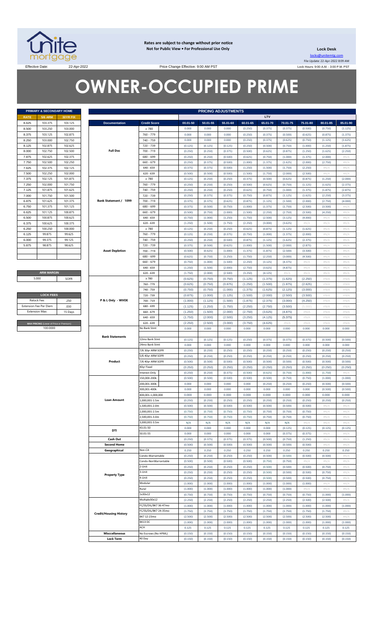

**Rates are subject to change without prior notice Not for Public View • For Professional Use Only** 

**Lock Desk** locks@unitemtg.com File Update: 22-Apr-2022 8:09 AM Lock Hours: 9:00 A.M. - 3:00 P.M. PST

Effective Date: 22-Apr-2022 2003 22-Apr-2022

# **OWNER-OCCUPIED PRIME**

|             | PRIMARY & SECONDARY HOME |                 |  |
|-------------|--------------------------|-----------------|--|
| <b>RATE</b> | <b>5/6 ARM</b>           | <b>30YR FIX</b> |  |
| 8.625       | 103.375                  | 103.125         |  |
| 8.500       | 103.250                  | 103.000         |  |
| 8.375       | 103.125                  | 102.875         |  |
| 8.250       | 103.000                  | 102.750         |  |
| 8.125       | 102.875                  | 102.625         |  |
| 8.000       | 102.750                  | 102.500         |  |
| 7.875       | 102.625                  | 102.375         |  |
| 7.750       | 102.500                  | 102.250         |  |
| 7.625       | 102.375                  | 102.125         |  |
| 7.500       | 102.250                  | 102.000         |  |
| 7.375       | 102.125                  | 101.875         |  |
| 7.250       | 102.000                  | 101.750         |  |
| 7.125       | 101.875                  | 101.625         |  |
| 7.000       | 101.750                  | 101.500         |  |
| 6.875       | 101.625                  | 101.375         |  |
| 6.750       | 101.375                  | 101.125         |  |
| 6.625       | 101.125                  | 100.875         |  |
| 6.500       | 100.875                  | 100.625         |  |
| 6.375       | 100.625                  | 100.375         |  |
| 6.250       | 100.250                  | 100.000         |  |
| 6.125       | 99.875                   | 99.625          |  |
| 6.000       | 99.375                   | 99.125          |  |
| 5.875       | 98.875                   | 98.625          |  |
|             |                          |                 |  |
|             |                          |                 |  |

**ARM MARGIN** 5.000

| <b>LOCK FEES</b>                        |         |  |  |  |  |
|-----------------------------------------|---------|--|--|--|--|
| Relock Fee:                             | 250     |  |  |  |  |
| <b>Extension Fee Per Diem</b>           | .030    |  |  |  |  |
| <b>Extension Max:</b>                   | 15 Days |  |  |  |  |
|                                         |         |  |  |  |  |
| MAX PRICING (Lower of Price or Premium) |         |  |  |  |  |

Г

|                | PRIMARY & SECONDARY HOME                            |                    |                               |                                        |                    | <b>PRICING ADJUSTMENTS</b> |                    |                    |                    |                    |                    |                    |                       |
|----------------|-----------------------------------------------------|--------------------|-------------------------------|----------------------------------------|--------------------|----------------------------|--------------------|--------------------|--------------------|--------------------|--------------------|--------------------|-----------------------|
| RATE           | <b>5/6 ARM</b>                                      | <b>30YR FIX</b>    |                               |                                        |                    |                            |                    |                    | LTV                |                    |                    |                    |                       |
| 8.625          | 103.375                                             | 103.125            | <b>Documentation</b>          | <b>Credit Score</b>                    | 00.01-50           | 50.01-55                   | 55.01-60           | 60.01-65           | 65.01-70           | 70.01-75           | 75.01-80           | 80.01-85           | 85.01-90              |
| 8.500          | 103.250                                             | 103.000            |                               | $\geq 780$                             | 0.000              | 0.000                      | 0.000              | (0.250)            | (0.375)            | (0.375)            | (0.500)            | (0.750)            | (1.125)               |
| 8.375          | 103.125                                             | 102.875            |                               | 760 - 779                              | 0.000              | 0.000                      | 0.000              | (0.250)            | (0.375)            | (0.500)            | (0.625)            | (0.875)            | (1.375)               |
| 8.250          | 103.000                                             | 102.750            |                               | 740 - 759                              | 0.000              | 0.000                      | 0.000              | (0.250)            | (0.375)            | (0.625)            | (0.750)            | (1.125)            | (1.625)               |
| 8.125          | 102.875                                             | 102.625            |                               | 720 - 739                              | (0.125)            | (0.125)                    | (0.125)            | (0.250)            | (0.500)            | (0.750)            | (1.000)            | (1.250)            | (1.875)               |
| 8.000          | 102.750                                             | 102.500            | <b>Full Doc</b>               | 700 - 719                              | (0.250)            | (0.250)                    | (0.375)            | (0.500)            | (0.625)            | (0.875)            | (1.250)            | (1.625)            | (2.250)               |
| 7.875          | 102.625                                             | 102.375            |                               | 680 - 699                              | (0.250)            | (0.250)                    | (0.500)            | (0.625)            | (0.750)            | (1.000)            | (1.375)            | (2.000)            | $\#N/\beta$           |
| 7.750          | 102.500                                             | 102.250            |                               | $660 - 679$                            | (0.250)            | (0.375)                    | (0.500)            | (1.000)            | (1.375)            | (1.625)            | (2.000)            | (2.750)            | #N/A                  |
| 7.625          | 102.375                                             | 102.125            |                               | $640 - 659$                            | (0.375)            | (0.375)                    | (0.500)            | (1.250)            | (1.500)            | (1.750)            | (2.250)            | $\#N/A$            | #N/A                  |
| 7.500          | 102.250                                             | 102.000            |                               | $620 - 639$                            | (0.500)            | (0.500)                    | (0.500)            | (1.500)            | (1.750)            | (2.000)            | (2.500)            | H N/A              | #N/A                  |
| 7.375          | 102.125                                             | 101.875            |                               | $\geq 780$<br>760 - 779                | (0.125)            | (0.250)                    | (0.250)            | (0.375)            | (0.500)            | (0.625)            | (0.875)            | (1.250)            | (2.000)               |
| 7.250<br>7.125 | 102.000<br>101.875                                  | 101.750<br>101.625 |                               | 740 - 759                              | (0.250)<br>(0.250) | (0.250)<br>(0.250)         | (0.250)<br>(0.250) | (0.500)<br>(0.625) | (0.625)<br>(0.750) | (0.750)<br>(1.000) | (1.125)<br>(1.375) | (1.625)<br>(1.875) | (2.375)<br>(2.875)    |
| 7.000          | 101.750                                             | 101.500            |                               | 720 - 739                              | (0.250)            | (0.375)                    | (0.375)            | (0.750)            | (0.875)            | (1.125)            | (1.625)            | (2.250)            | (3.375)               |
| 6.875          | 101.625                                             | 101.375            | Bank Statement / 1099         | 700 - 719                              | (0.375)            | (0.375)                    | (0.625)            | (0.875)            | (1.125)            | (1.500)            | (2.000)            | (2.750)            | (4.000)               |
| 6.750          | 101.375                                             | 101.125            |                               | 680 - 699                              | (0.375)            | (0.500)                    | (0.750)            | (1.000)            | (1.375)            | (1.750)            | (2.500)            | (3.500)            | #N/A                  |
| 6.625          | 101.125                                             | 100.875            |                               | $660 - 679$                            | (0.500)            | (0.750)                    | (1.000)            | (1.500)            | (2.250)            | (2.750)            | (3.500)            | (4.250)            | #N/A                  |
| 6.500          | 100.875                                             | 100.625            |                               | $640 - 659$                            | (0.750)            | (1.000)                    | (1.250)            | (1.750)            | (2.500)            | (3.125)            | (4.000)            | $\#N/A$            | #N/A                  |
| 6.375          | 100.625                                             | 100.375            |                               | $620 - 639$                            | (1.250)            | (1.500)                    | (1.750)            | (2.250)            | (3.000)            | (3.625)            | #N/A               | $\#N/A$            | #N/A                  |
| 6.250          | 100.250                                             | 100.000            |                               | $\geq 780$                             | (0.125)            | (0.250)                    | (0.250)            | (0.625)            | (0.875)            | (1.125)            | (1.625)            | $\#N/A$            | #N/A                  |
| 6.125          | 99.875                                              | 99.625             |                               | 760 - 779                              | (0.125)            | (0.250)                    | (0.375)            | (0.750)            | (1.000)            | (1.375)            | (2.000)            | $\#N/A$            | #N/A                  |
| 6.000          | 99.375                                              | 99.125             |                               | 740 - 759                              | (0.250)            | (0.250)                    | (0.500)            | (0.875)            | (1.125)            | (1.625)            | (2.375)            | $\#N/A$            | #N/A                  |
| 5.875          | 98.875                                              | 98.625             |                               | 720 - 739                              | (0.375)            | (0.500)                    | (0.625)            | (1.000)            | (1.500)            | (2.000)            | (2.875)            | $\#N/\ell$         | #N/ $\rho$            |
|                |                                                     |                    | <b>Asset Depletion</b>        | $700 - 719$                            | (0.500)            | (0.625)                    | (1.000)            | (1.375)            | (1.875)            | (2.500)            | (3.500)            | $\#N/A$            | #N/A                  |
|                |                                                     |                    |                               | 680 - 699                              | (0.625)            | (0.750)                    | (1.250)            | (1.750)            | (2.250)            | (3.000)            | (4.500)            | $\#N/A$            | #N/A                  |
|                |                                                     |                    |                               | $660 - 679$                            | (0.750)            | (1.000)                    | (1.500)            | (2.250)            | (3.125)            | (4.375)            | $\#N/A$            | $\#N/A$            | #N/A                  |
|                |                                                     |                    |                               | $640 - 659$                            | (1.250)            | (1.500)                    | (2.000)            | (2.750)            | (3.625)            | (4.875)            | $\#N/A$            | $\#N/A$            | #N/A                  |
|                | <b>ARM MARGIN</b>                                   |                    |                               | $620 - 639$                            | (1.750)            | (2.000)                    | (2.500)            | (3.250)            | (4.125)            | $\#N/A$            | #N/ $\rho$         | H N/A              | #N/A                  |
|                | 5.000                                               | SOFR               |                               | $\geq 780$                             | (0.625)            | (0.750)                    | (0.750)            | (1.125)            | (1.375)            | (1.625)            | (2.250)            | #N/A               | #N/A                  |
|                |                                                     |                    |                               | 760 - 779                              | (0.625)            | (0.750)                    | (0.875)            | (1.250)            | (1.500)            | (1.875)            | (2.625)            | #N/A               | #N/A                  |
|                | <b>LOCK FEES</b>                                    |                    |                               | 740 - 759                              | (0.750)            | (0.750)                    | (1.000)            | (1.375)            | (1.625)            | (2.125)            | (3.000)            | #N/A               | #N/A                  |
|                |                                                     |                    |                               | 720 - 739                              | (0.875)            | (1.000)                    | (1.125)            | (1.500)            | (2.000)            | (2.500)            | (3.500)            | #N/A               | #N/A                  |
|                | Relock Fee:<br>xtension Fee Per Diem                | .250<br>.030       | P & L Only - WVOE             | 700 - 719                              | (1.000)            | (1.125)                    | (1.500)            | (1.875)            | (2.375)            | (3.000)            | (4.250)            | #N/A               | #N/A<br>#N/A          |
|                | <b>Extension Max:</b>                               | 15 Days            |                               | 680 - 699<br>$660 - 679$               | (1.125)<br>(1.250) | (1.250)<br>(1.500)         | (1.750)<br>(2.000) | (2.250)<br>(2.750) | (2.750)<br>(3.625) | (3.500)<br>(4.875) | (5.000)<br>$\#N/F$ | #N/A<br>#N/A       | #N/A                  |
|                |                                                     |                    |                               | $640 - 659$                            | (1.750)            | (2.000)                    | (2.500)            | (3.250)            | (4.125)            | (5.375)            | #N/A               | #N/A               | #N/A                  |
|                |                                                     |                    |                               | $620 - 639$                            | (2.250)            | (2.500)                    | (3.000)            | (3.750)            | (4.625)            | $\#N/\ell$         | $\#N/A$            | #N/A               | #N/A                  |
|                | MAX PRICING (Lower of Price or Premium)<br>100.0000 |                    |                               | No Bank Stmt                           | 0.000              | 0.000                      | 0.000              | 0.000              | 0.000              | 0.000              | 0.000              | 0.000              | 0.000                 |
|                |                                                     |                    |                               |                                        |                    |                            |                    |                    |                    |                    |                    |                    |                       |
|                |                                                     |                    | <b>Bank Statements</b>        | 12mo Bank Stmt                         | (0.125)            | (0.125)                    | (0.125)            | (0.250)            | (0.375)            | (0.375)            | (0.375)            | (0.500)            | (0.500)               |
|                |                                                     |                    |                               | 24mo Bank Stmt                         | 0.000              | 0.000                      | 0.000              | 0.000              | 0.000              | 0.000              | 0.000              | 0.000              | 0.000                 |
|                |                                                     |                    |                               | 7/6 30yr ARM SOFR                      | (0.250)            | (0.250)                    | (0.250)            | (0.250)            | (0.250)            | (0.250)            | (0.250)            | (0.250)            | (0.250)               |
|                |                                                     |                    |                               | 5/6 40yr ARM SOFR                      | (0.250)            | (0.250)                    | (0.250)            | (0.250)            | (0.250)            | (0.250)            | (0.250)            | (0.250)            | (0.250)               |
|                |                                                     |                    | Product                       | 7/6 40yr ARM SOFR                      | (0.500)            | (0.500)                    | (0.500)            | (0.500)            | (0.500)            | (0.500)            | (0.500)            | (0.500)            | (0.500)               |
|                |                                                     |                    |                               | 40yr Fixed                             | (0.250)            | (0.250)                    | (0.250)            | (0.250)            | (0.250)            | (0.250)            | (0.250)            | (0.250)            | (0.250)               |
|                |                                                     |                    |                               | Interest-Only                          | (0.250)            | (0.250)                    | (0.375)            | (0.500)            | (0.625)            | (0.750)            | (1.000)            | (1.750)            | #N/A                  |
|                |                                                     |                    |                               | 150.000-200k                           | (0.500)            | (0.500)                    | (0.500)            | (0.500)            | (0.500)            | (0.750)            | (0.750)            | (1.000)            | (1.000)               |
|                |                                                     |                    |                               | 200,001-300k                           | 0.000              | 0.000                      | 0.000              | 0.000              | (0.250)            | (0.250)            | (0.250)            | (0.500)            | (0.500)               |
|                |                                                     |                    |                               | 300,001-400k                           | 0.000              | 0.000                      | 0.000              | 0.000              | 0.000              | 0.000              | 0.000              | (0.500)            | (0.500)               |
|                |                                                     |                    |                               | 400,001-1,000,000                      | 0.000              | 0.000                      | 0.000              | 0.000              | 0.000              | 0.000              | 0.000              | 0.000              | 0.000                 |
|                |                                                     |                    | <b>Loan Amount</b>            | 000,001-1.5m<br>.500.001-2.0m          | (0.250)            | (0.250)                    | (0.250)            | (0.250)            | (0.250)            | (0.250)            | (0.250)            | (0.250)            | (0.250)               |
|                |                                                     |                    |                               | .000,001-2.5m                          | (0.500)<br>(0.750) | (0.500)<br>(0.750)         | (0.500)<br>(0.750) | (0.500)<br>(0.750) | (0.500)<br>(0.750) | (0.500)<br>(0.750) | (0.500)<br>(0.750) | $\#N/A$<br>$\#N/A$ | #N/A<br>#N/A          |
|                |                                                     |                    |                               | 2,500,001-3.0m                         | (0.750)            | (0.750)                    | (0.750)            | (0.750)            | (0.750)            | (0.750)            | (0.750)            | H N/A              | #N/A                  |
|                |                                                     |                    |                               | 3,000,001-3.5m                         | N/A                | N/A                        | N/A                | N/A                | N/A                | N/A                | #N/A               | H N/A              | #N/A                  |
|                |                                                     |                    |                               | 43.01-50                               | 0.000              | 0.000                      | 0.000              | 0.000              | 0.000              | (0.125)            | (0.125)            | (0.125)            | (0.125)               |
|                |                                                     |                    | DTI                           | 50.01-55                               | 0.000              | 0.000                      | 0.000              | 0.000              | 0.000              | (0.375)            | (0.375)            | #N/A               | #N/ $\rho$            |
|                |                                                     |                    | Cash Out                      |                                        | (0.250)            | (0.375)                    | (0.375)            | (0.375)            | (0.500)            | (0.750)            | (1.250)            | $\#N/A$            | #N/A                  |
|                |                                                     |                    | <b>Second Home</b>            |                                        | (0.500)            | (0.500)                    | (0.500)            | (0.500)            | (0.500)            | (0.500)            | (0.500)            | #N/A               | #N/ $\rho$            |
|                |                                                     |                    | Geographical                  | Non-CA                                 | 0.250              | 0.250                      | 0.250              | 0.250              | 0.250              | 0.250              | 0.250              | 0.250              | 0.250                 |
|                |                                                     |                    |                               | Condo-Warrantable                      | (0.250)            | (0.250)                    | (0.250)            | (0.250)            | (0.500)            | (0.500)            | (0.500)            | (0.500)            | #N/ $\rho$            |
|                |                                                     |                    |                               | Condo-NonWarrantable                   | (0.500)            | (0.500)                    | (0.500)            | (0.500)            | (0.750)            | (0.750)            | #N/A               | #N/A               | #N/ $\rho$            |
|                |                                                     |                    |                               | 2-Unit                                 | (0.250)            | (0.250)                    | (0.250)            | (0.250)            | (0.500)            | (0.500)            | (0.500)            | (0.750)            | #N/ $\rho$            |
|                |                                                     |                    | <b>Property Type</b>          | 3-Unit                                 | (0.250)            | (0.250)                    | (0.250)            | (0.250)            | (0.500)            | (0.500)            | (0.500)            | (0.750)            | #N/A                  |
|                |                                                     |                    |                               | 4-Unit                                 | (0.250)            | (0.250)                    | (0.250)            | (0.250)            | (0.500)            | (0.500)            | (0.500)            | (0.750)            | #N/A                  |
|                |                                                     |                    |                               | Modular                                | (1.000)            | (1.000)                    | (1.000)            | (1.000)            | (1.000)            | (1.000)            | (1.000)            | $\#N/A$            | #N/A                  |
|                |                                                     |                    |                               | Rural                                  | (1.000)            | (1.000)                    | (1.000)            | (1.000)            | (1.000)            | (1.000)            | #N/A               | H N/A              | #N/A                  |
|                |                                                     |                    |                               | 1x30x12                                | (0.750)            | (0.750)                    | (0.750)            | (0.750)            | (0.750)            | (0.750)            | (0.750)            | (1.000)            | (1.000)               |
|                |                                                     |                    |                               | Multiple30x12<br>FC/SS/DIL/BK7 36-47mo | (2.250)            | (2.250)                    | (2.250)            | (2.250)            | (2.250)            | (2.250)            | (2.500)            | (2.500)            | #N/A                  |
|                |                                                     |                    |                               | FC/SS/DIL/BK7 24-35mo                  | (1.000)<br>(1.750) | (1.000)<br>(1.750)         | (1.000)<br>(1.750) | (1.000)<br>(1.750) | (1.000)<br>(1.750) | (1.000)<br>(1.750) | (1.000)<br>(1.750) | (1.000)<br>(1.750) | (1.000)<br>#N/ $\rho$ |
|                |                                                     |                    | <b>Credit/Housing History</b> | BK7 12-23mo                            | (2.500)            | (2.500)                    | (2.500)            | (2.500)            | (2.500)            | (2.500)            | (2.500)            | (2.500)            | #N/A                  |
|                |                                                     |                    |                               | BK13 DC                                | (1.000)            | (1.000)                    | (1.000)            | (1.000)            | (1.000)            | (1.000)            | (1.000)            | (1.000)            | (1.000)               |
|                |                                                     |                    |                               | ACH                                    | 0.125              | 0.125                      | 0.125              | 0.125              | 0.125              | 0.125              | 0.125              | 0.125              | 0.125                 |
|                |                                                     |                    | <b>Misccellaneous</b>         | No Escrows (No HPML)                   | (0.150)            | (0.150)                    | (0.150)            | (0.150)            | (0.150)            | (0.150)            | (0.150)            | (0.150)            | (0.150)               |
|                |                                                     |                    | <b>Lock Term</b>              | 40 Day                                 | (0.150)            | (0.150)                    | (0.150)            | (0.150)            | (0.150)            | (0.150)            | (0.150)            | (0.150)            | (0.150)               |
|                |                                                     |                    |                               |                                        |                    |                            |                    |                    |                    |                    |                    |                    |                       |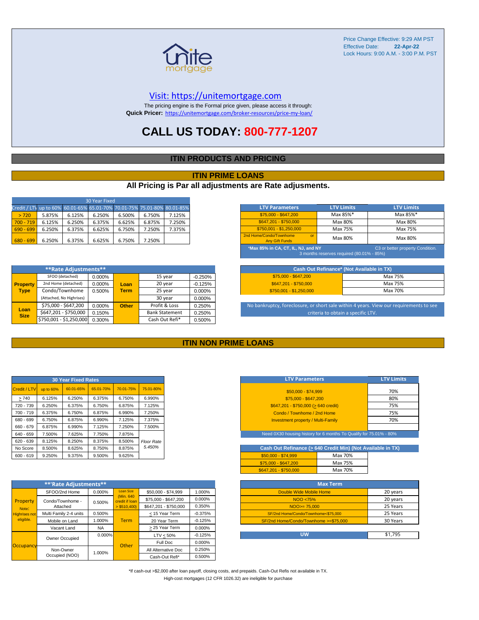

#### [V](https://unitemortgage.com/)isit: https://unitemortgage.com

The pricing engine is the Formal price given, please access it through: **Quick Pricer:** [https://un](https://unitemortgage.com/broker-resources/price-my-loan/)itemortgage.com/broker-resources/price-my-loan/

### **CALL US TODAY: 800-777-1207**

#### **ITIN PRODUCTS AND PRICING**

#### **ITIN PRIME LOANS**

#### **All Pricing is Par all adjustments are Rate adjusments.**

| 30 Year Fixed                                                            |        |        |        |        |        |        |  |
|--------------------------------------------------------------------------|--------|--------|--------|--------|--------|--------|--|
| Credit / LTV up to 60% 60.01-65% 65.01-70% 70.01-75% 75.01-80% 80.01-85% |        |        |        |        |        |        |  |
| > 720                                                                    | 5.875% | 6.125% | 6.250% | 6.500% | 6.750% | 7.125% |  |
| $700 - 719$                                                              | 6.125% | 6.250% | 6.375% | 6.625% | 6.875% | 7.250% |  |
| $690 - 699$                                                              | 6.250% | 6.375% | 6.625% | 6.750% | 7.250% | 7.375% |  |
| $680 - 699$                                                              | 6.250% | 6.375% | 6.625% | 6.750% | 7.250% |        |  |

|                     | **Rate Adjustments**     |        |              |                       |           |
|---------------------|--------------------------|--------|--------------|-----------------------|-----------|
|                     | SFOO (detached)          | 0.000% |              | 15 year               | $-0.250%$ |
| <b>Property</b>     | 2nd Home (detached)      | 0.000% | Loan         | 20 year               | $-0.125%$ |
| <b>Type</b>         | Condo/Townhome           | 0.500% | <b>Term</b>  | 25 year               | 0.000%    |
|                     | (Attached, No Highrises) |        |              | 30 year               | 0.000%    |
|                     | \$75,000 - \$647,200     | 0.000% | <b>Other</b> | Profit & Loss         | 0.250%    |
| Loan<br><b>Size</b> | \$647,201 - \$750,000    | 0.150% |              | <b>Bank Statement</b> | 0.250%    |
|                     | \$750,001 - \$1,250,000  | 0.300% |              | Cash Out Refi*        | 0.500%    |

| <b>LTV Parameters</b>                                                                                               | <b>LTV Limits</b> | <b>LTV Limits</b> |  |  |  |
|---------------------------------------------------------------------------------------------------------------------|-------------------|-------------------|--|--|--|
| $$75,000 - $647,200$                                                                                                | Max 85%*          | Max 85%*          |  |  |  |
| \$647.201 - \$750.000                                                                                               | Max 80%           | Max 80%           |  |  |  |
| $$750,001 - $1,250,000$                                                                                             | Max 75%           | Max 75%           |  |  |  |
| 2nd Home/Condo/Townhome<br>$\alpha$<br><b>Any Gift Funds</b>                                                        | Max 80%           | Max 80%           |  |  |  |
| *Max 85% in CA, CT, IL, NJ, and NY<br>C3 or better property Condition.<br>3 months reserves required (80.01% - 85%) |                   |                   |  |  |  |

| Cash Out Refinance* (Not Available in TX) |         |  |  |  |
|-------------------------------------------|---------|--|--|--|
| $$75.000 - $647.200$                      | Max 75% |  |  |  |
| \$647.201 - \$750.000                     | Max 75% |  |  |  |
| $$750.001 - $1.250.000$                   | Max 70% |  |  |  |

No bankruptcy, foreclosure, or short sale within 4 years. View our requirements to see criteria to obtain a specific LTV.

#### **ITIN NON PRIME LOANS**

| <b>30 Year Fixed Rates</b> |           |           |           |           |                   |  |  |  |  |  |  |  |
|----------------------------|-----------|-----------|-----------|-----------|-------------------|--|--|--|--|--|--|--|
| Credit / LTV               | up to 60% | 60.01-65% | 65.01-70% | 70.01-75% | 75.01-80%         |  |  |  |  |  |  |  |
| >740                       | 6.125%    | 6.250%    | 6.375%    | 6.750%    | 6.990%            |  |  |  |  |  |  |  |
| 720 - 739                  | 6.250%    | 6.375%    | 6.750%    | 6.875%    | 7.125%            |  |  |  |  |  |  |  |
| $700 - 719$                | 6.375%    | 6.750%    | 6.875%    | 6.990%    | 7.250%            |  |  |  |  |  |  |  |
| 680 - 699                  | 6.750%    | 6.875%    | 6.990%    | 7.125%    | 7.375%            |  |  |  |  |  |  |  |
| 660 - 679                  | 6.875%    | 6.990%    | 7.125%    | 7.250%    | 7.500%            |  |  |  |  |  |  |  |
| 640 - 659                  | 7.500%    | 7.625%    | 7.750%    | 7.875%    |                   |  |  |  |  |  |  |  |
| 620 - 639                  | 8.125%    | 8.250%    | 8.375%    | 8.500%    | <b>Floor Rate</b> |  |  |  |  |  |  |  |
| No Score                   | 8.500%    | 8.625%    | 8.750%    | 8.875%    | 5.450%            |  |  |  |  |  |  |  |
| $600 - 619$                | 9.250%    | 9.375%    | 9.500%    | 9.625%    |                   |  |  |  |  |  |  |  |

|                      | **'Rate Adjustments**  |           |                              |                       |           |
|----------------------|------------------------|-----------|------------------------------|-----------------------|-----------|
|                      | SFOO/2nd Home          | 0.000%    | <b>Loan Size</b>             | \$50,000 - \$74,999   | 1.000%    |
| Property             | Condo/Townhome -       | 0.500%    | (Min. 640)<br>credit if Ioan | \$75,000 - \$647,200  | 0.000%    |
| Note:                | Attached               |           | $>$ \$510,400)               | \$647.201 - \$750.000 | 0.350%    |
| <b>Highrises not</b> | Multi Family 2-4 units | 0.500%    |                              | < 15 Year Term        | $-0.375%$ |
| eligible.            | Mobile on Land         | 1.000%    | <b>Term</b>                  | 20 Year Term          | $-0.125%$ |
|                      | Vacant Land            | <b>NA</b> |                              | > 25 Year Term        | 0.000%    |
|                      | Owner Occupied         | $0.000\%$ |                              | $LTV < 50\%$          | $-0.125%$ |
| Occupancy            |                        |           | Other                        | Full Doc              | 0.000%    |
|                      | Non-Owner              | 1.000%    |                              | All Alternative Doc   | 0.250%    |
|                      | Occupied (NOO)         |           |                              | Cash-Out Refi*        | 0.500%    |

| <b>LTV Parameters</b>                        | <b>LTV Limits</b> |
|----------------------------------------------|-------------------|
| \$50,000 - \$74,999                          | 70%               |
| \$75,000 - \$647,200                         | 80%               |
| $$647,201 - $750,000 (> 640 \text{ credit})$ | 75%               |
| Condo / Townhome / 2nd Home                  | 75%               |
| <b>Investment property / Multi-Family</b>    | 70%               |
|                                              |                   |

Need 0X30 housing history for 6 months To Qualify for 75.01% - 80%

| Cash Out Refinance (> 640 Credit Min) (Not Available in TX) |         |  |
|-------------------------------------------------------------|---------|--|
| $$50.000 - $74.999$                                         | Max 70% |  |
| \$75,000 - \$647,200                                        | Max 75% |  |
| \$647.201 - \$750.000                                       | Max 70% |  |

| <b>Max Term</b>                       |          |
|---------------------------------------|----------|
| Double Wide Mobile Home               | 20 years |
| NOO <75%                              | 20 years |
| $NOO > = 75.000$                      | 25 Years |
| SF/2nd Home/Condo/Townhome<\$75,000   | 25 Years |
| SF/2nd Home/Condo/Townhome >=\$75,000 | 30 Years |
|                                       |          |
| บพ                                    | \$1.795  |

\*If cash-out >\$2,000 after loan payoff, closing costs, and prepaids. Cash-Out Refis not available in TX. High-cost mortgages (12 CFR 1026.32) are ineligible for purchase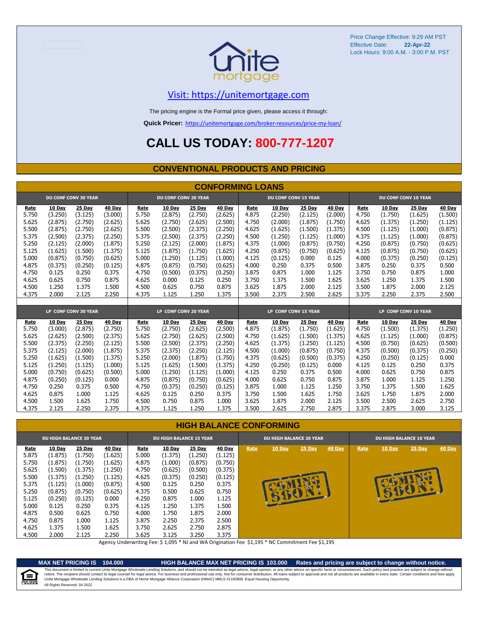

### [V](https://unitemortgage.com/)isit: https://unitemortgage.com

The pricing engine is the Formal price given, please access it through:

**Quick Pricer:** [https://un](https://unitemortgage.com/broker-resources/price-my-loan/)itemortgage.com/broker-resources/price-my-loan/

## **CALL US TODAY: 800-777-1207**

#### **CONVENTIONAL PRODUCTS AND PRICING**

|       | <b>CONFORMING LOANS</b> |                             |         |       |                             |         |         |       |                             |         |         |       |               |                             |               |
|-------|-------------------------|-----------------------------|---------|-------|-----------------------------|---------|---------|-------|-----------------------------|---------|---------|-------|---------------|-----------------------------|---------------|
|       |                         | <b>DU CONF CONV 30 YEAR</b> |         |       | <b>DU CONF CONV 20 YEAR</b> |         |         |       | <b>DU CONF CONV 15 YEAR</b> |         |         |       |               | <b>DU CONF CONV 10 YEAR</b> |               |
| Rate  | 10 Day                  | 25 Day                      | 40 Day  | Rate  | 10 Day                      | 25 Day  | 40 Day  | Rate  | 10 Day                      | 25 Day  | 40 Day  | Rate  | 10 Day        | 25 Day                      | <b>40 Day</b> |
| 5.750 | (3.250)                 | (3.125)                     | (3.000) | 5.750 | (2.875)                     | (2.750) | (2.625) | 4.875 | (2.250)                     | (2.125) | (2.000) | 4.750 | (1.750)       | (1.625)                     | (1.500)       |
| 5.625 | (2.875)                 | (2.750)                     | (2.625) | 5.625 | (2.750)                     | (2.625) | (2.500) | 4.750 | (2.000)                     | (1.875) | (1.750) | 4.625 | (1.375)       | (1.250)                     | (1.125)       |
| 5.500 | (2.875)                 | (2.750)                     | (2.625) | 5.500 | (2.500)                     | (2.375) | (2.250) | 4.625 | (1.625)                     | (1.500) | (1.375) | 4.500 | (1.125)       | (1.000)                     | (0.875)       |
| 5.375 | (2.500)                 | (2.375)                     | (2.250) | 5.375 | (2.500)                     | (2.375) | (2.250) | 4.500 | (1.250)                     | (1.125) | (1.000) | 4.375 | (1.125)       | (1.000)                     | (0.875)       |
| 5.250 | (2.125)                 | (2.000)                     | (1.875) | 5.250 | (2.125)                     | (2.000) | (1.875) | 4.375 | (1.000)                     | (0.875) | (0.750) | 4.250 | (0.875)       | (0.750)                     | (0.625)       |
| 5.125 | (1.625)                 | (1.500)                     | (1.375) | 5.125 | (1.875)                     | (1.750) | (1.625) | 4.250 | (0.875)                     | (0.750) | (0.625) | 4.125 | (0.875)       | (0.750)                     | (0.625)       |
| 5.000 | (0.875)                 | (0.750)                     | (0.625) | 5.000 | (1.250)                     | (1.125) | (1.000) | 4.125 | (0.125)                     | 0.000   | 0.125   | 4.000 | (0.375)       | (0.250)                     | (0.125)       |
| 4.875 | (0.375)                 | (0.250)                     | (0.125) | 4.875 | (0.875)                     | (0.750) | (0.625) | 4.000 | 0.250                       | 0.375   | 0.500   | 3.875 | 0.250         | 0.375                       | 0.500         |
| 4.750 | 0.125                   | 0.250                       | 0.375   | 4.750 | (0.500)                     | (0.375) | (0.250) | 3.875 | 0.875                       | 1.000   | 1.125   | 3.750 | 0.750         | 0.875                       | 1.000         |
| 4.625 | 0.625                   | 0.750                       | 0.875   | 4.625 | 0.000                       | 0.125   | 0.250   | 3.750 | 1.375                       | 1.500   | 1.625   | 3.625 | 1.250         | 1.375                       | 1.500         |
| 4.500 | 1.250                   | 1.375                       | 1.500   | 4.500 | 0.625                       | 0.750   | 0.875   | 3.625 | 1.875                       | 2.000   | 2.125   | 3.500 | 1.875         | 2.000                       | 2.125         |
| 4.375 | 2.000                   | 2.125                       | 2.250   | 4.375 | 1.125                       | 1.250   | 1.375   | 3.500 | 2.375                       | 2.500   | 2.625   | 3.375 | 2.250         | 2.375                       | 2.500         |
|       |                         |                             |         |       |                             |         |         |       |                             |         |         |       |               |                             |               |
|       |                         | LP CONF CONV 30 YEAR        |         |       | LP CONF CONV 20 YEAR        |         |         |       | LP CONF CONV 15 YEAR        |         |         |       |               | LP CONF CONV 10 YEAR        |               |
| Rate  | 10 Day                  | 25 Day                      | 40 Day  | Rate  | 10 Day                      | 25 Day  | 40 Day  | Rate  | 10 Day                      | 25 Day  | 40 Day  | Rate  | <b>10 Day</b> | 25 Day                      | 40 Day        |
| 5.750 | (3.000)                 | (2.875)                     | (2.750) | 5.750 | (2.750)                     | (2.625) | (2.500) | 4.875 | (1.875)                     | (1.750) | (1.625) | 4.750 | (1.500)       | (1.375)                     | (1.250)       |
| 5.625 | (2.625)                 | (2.500)                     | (2.375) | 5.625 | (2.750)                     | (2.625) | (2.500) | 4.750 | (1.625)                     | (1.500) | (1.375) | 4.625 | (1.125)       | (1.000)                     | (0.875)       |
| 5.500 | (2.375)                 | (2.250)                     | (2.125) | 5.500 | (2.500)                     | (2.375) | (2.250) | 4.625 | (1.375)                     | (1.250) | (1.125) | 4.500 | (0.750)       | (0.625)                     | (0.500)       |
| 5.375 | (2.125)                 | (2.000)                     | (1.875) | 5.375 | (2.375)                     | (2.250) | (2.125) | 4.500 | (1.000)                     | (0.875) | (0.750) | 4.375 | (0.500)       | (0.375)                     | (0.250)       |
| 5.250 | (1.625)                 | (1.500)                     | (1.375) | 5.250 | (2.000)                     | (1.875) | (1.750) | 4.375 | (0.625)                     | (0.500) | (0.375) | 4.250 | (0.250)       | (0.125)                     | 0.000         |
| 5.125 | (1.250)                 | (1.125)                     | (1.000) | 5.125 | (1.625)                     | (1.500) | (1.375) | 4.250 | (0.250)                     | (0.125) | 0.000   | 4.125 | 0.125         | 0.250                       | 0.375         |
| 5.000 | (0.750)                 | (0.625)                     | (0.500) | 5.000 | (1.250)                     | (1.125) | (1.000) | 4.125 | 0.250                       | 0.375   | 0.500   | 4.000 | 0.625         | 0.750                       | 0.875         |
| 4.875 | (0.250)                 | (0.125)                     | 0.000   | 4.875 | (0.875)                     | (0.750) | (0.625) | 4.000 | 0.625                       | 0.750   | 0.875   | 3.875 | 1.000         | 1.125                       | 1.250         |
| 4.750 | 0.250                   | 0.375                       | 0.500   | 4.750 | (0.375)                     | (0.250) | (0.125) | 3.875 | 1.000                       | 1.125   | 1.250   | 3.750 | 1.375         | 1.500                       | 1.625         |
| 4.625 | 0.875                   | 1.000                       | 1.125   | 4.625 | 0.125                       | 0.250   | 0.375   | 3.750 | 1.500                       | 1.625   | 1.750   | 3.625 | 1.750         | 1.875                       | 2.000         |
| 4.500 | 1.500                   | 1.625                       | 1.750   | 4.500 | 0.750                       | 0.875   | 1.000   | 3.625 | 1.875                       | 2.000   | 2.125   | 3.500 | 2.500         | 2.625                       | 2.750         |
| 4.375 | 2.125                   | 2.250                       | 2.375   | 4.375 | 1.125                       | 1.250   | 1.375   | 3.500 | 2.625                       | 2.750   | 2.875   | 3.375 | 2.875         | 3.000                       | 3.125         |

#### **HIGH BALANCE CONFORMING**

|                                                                                                                  | <b>DU HIGH BALANCE 30 YEAR</b>                                                                                                   |                                                                                                                                  |                                                                                                                                |                                                                                                                  | <b>DU HIGH BALANCE 15 YEAR</b>                                                                                                    |                                                                                                                            |                                                                                                                                   | <b>DU HIGH BALANCE 20 YEAR</b> |        |                        |        | <b>DU HIGH BALANCE 10 YEAR</b> |        |        |               |
|------------------------------------------------------------------------------------------------------------------|----------------------------------------------------------------------------------------------------------------------------------|----------------------------------------------------------------------------------------------------------------------------------|--------------------------------------------------------------------------------------------------------------------------------|------------------------------------------------------------------------------------------------------------------|-----------------------------------------------------------------------------------------------------------------------------------|----------------------------------------------------------------------------------------------------------------------------|-----------------------------------------------------------------------------------------------------------------------------------|--------------------------------|--------|------------------------|--------|--------------------------------|--------|--------|---------------|
| Rate<br>5.875<br>5.750<br>5.625<br>5.500<br>5.375<br>5.250<br>5.125<br>5.000<br>4.875<br>4.750<br>4.625<br>4.500 | 10 Day<br>(1.875)<br>(1.875)<br>(1.500)<br>(1.375)<br>(1.125)<br>(0.875)<br>(0.250)<br>0.125<br>0.500<br>0.875<br>1.375<br>2.000 | 25 Day<br>(1.750)<br>(1.750)<br>(1.375)<br>(1.250)<br>(1.000)<br>(0.750)<br>(0.125)<br>0.250<br>0.625<br>1.000<br>1.500<br>2.125 | 40 Day<br>(1.625)<br>(1.625)<br>(1.250)<br>(1.125)<br>(0.875)<br>(0.625)<br>0.000<br>0.375<br>0.750<br>1.125<br>1.625<br>2.250 | Rate<br>5.000<br>4.875<br>4.750<br>4.625<br>4.500<br>4.375<br>4.250<br>4.125<br>4.000<br>3.875<br>3.750<br>3.625 | <b>10 Day</b><br>(1.375)<br>(1.000)<br>(0.625)<br>(0.375)<br>0.125<br>0.500<br>0.875<br>1.250<br>1.750<br>2.250<br>2.625<br>3.125 | 25 Day<br>(1.250)<br>(0.875)<br>(0.500)<br>(0.250)<br>0.250<br>0.625<br>1.000<br>1.375<br>1.875<br>2.375<br>2.750<br>3.250 | <b>40 Day</b><br>(1.125)<br>(0.750)<br>(0.375)<br>(0.125)<br>0.375<br>0.750<br>1.125<br>1.500<br>2.000<br>2.500<br>2.875<br>3.375 | Rate                           | 10 Day | 25 Day<br><b>STATE</b> | 40 Day | Rate                           | 10 Day | 25 Day | <b>40 Day</b> |

Agency Underwriting Fee: \$ 1,095 \* NJ and WA Origination Fee \$1,195 \* NC Commitment Fee \$1,195

⋹

**MAX NET PRICING IS 104.000 HIGH BALANCE MAX NET PRICING IS 103.000 Rates and pricing are subject to change without notice.** All Rights Reserved. 04.2022 This document is limited to current Unite Mortgage Wholesale Lending Solutions, and should not be intended as legal advice, legal opinion, or any other advice on specific facts or circumstances. Such policy and practice ar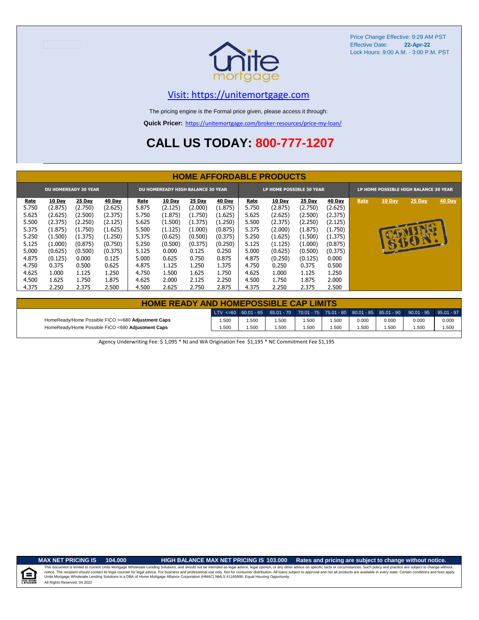

### [V](https://unitemortgage.com/)isit: https://unitemortgage.com

The pricing engine is the Formal price given, please access it through:

**Quick Pricer:** [https://un](https://unitemortgage.com/broker-resources/price-my-loan/)itemortgage.com/broker-resources/price-my-loan/

## **CALL US TODAY: 800-777-1207**

|       |               |                             |         |       |                                   |         |               |       | <b>HOME AFFORDABLE PRODUCTS</b> |               |               |      |                                       |        |               |
|-------|---------------|-----------------------------|---------|-------|-----------------------------------|---------|---------------|-------|---------------------------------|---------------|---------------|------|---------------------------------------|--------|---------------|
|       |               | <b>DU HOMEREADY 30 YEAR</b> |         |       | DU HOMEREADY HIGH BALANCE 30 YEAR |         |               |       | LP HOME POSSIBLE 30 YEAR        |               |               |      | LP HOME POSSIBLE HIGH BALANCE 30 YEAR |        |               |
| Rate  | <b>10 Day</b> | <b>25 Day</b>               | 40 Day  | Rate  | <b>10 Day</b>                     | 25 Day  | <b>40 Day</b> | Rate  | 10 Day                          | <b>25 Day</b> | <b>40 Day</b> | Rate | 10 Day                                | 25 Day | <b>40 Day</b> |
| 5.750 | (2.875)       | (2.750)                     | (2.625) | 5.875 | (2.125)                           | (2.000) | (1.875)       | 5.750 | (2.875)                         | (2.750)       | (2.625)       |      |                                       |        |               |
| 5.625 | (2.625)       | (2.500)                     | (2.375) | 5.750 | (1.875)                           | (1.750) | (1.625)       | 5.625 | (2.625)                         | (2.500)       | (2.375)       |      |                                       |        |               |
| 5.500 | (2.375)       | (2.250)                     | (2.125) | 5.625 | (1.500)                           | (1.375) | (1.250)       | 5.500 | (2.375)                         | (2.250)       | (2.125)       |      |                                       |        |               |
| 5.375 | (1.875)       | (1.750)                     | (1.625) | 5.500 | (1.125)                           | (1.000) | (0.875)       | 5.375 | (2.000)                         | (1.875)       | (1.750)       |      |                                       |        |               |
| 5.250 | (1.500)       | (1.375)                     | (1.250) | 5.375 | (0.625)                           | (0.500) | (0.375)       | 5.250 | (1.625)                         | (1.500)       | (1.375)       |      |                                       |        |               |
| 5.125 | (1.000)       | (0.875)                     | (0.750) | 5.250 | (0.500)                           | (0.375) | (0.250)       | 5.125 | (1.125)                         | (1.000)       | (0.875)       |      |                                       | SIGN   |               |
| 5.000 | (0.625)       | (0.500)                     | (0.375) | 5.125 | 0.000                             | 0.125   | 0.250         | 5.000 | (0.625)                         | (0.500)       | (0.375)       |      |                                       |        |               |
| 4.875 | (0.125)       | 0.000                       | 0.125   | 5.000 | 0.625                             | 0.750   | 0.875         | 4.875 | (0.250)                         | (0.125)       | 0.000         |      |                                       |        |               |
| 4.750 | 0.375         | 0.500                       | 0.625   | 4.875 | 1.125                             | 1.250   | 1.375         | 4.750 | 0.250                           | 0.375         | 0.500         |      |                                       |        |               |
| 4.625 | 1.000         | 1.125                       | 1.250   | 4.750 | 1.500                             | 1.625   | 1.750         | 4.625 | 1.000                           | 1.125         | 1.250         |      |                                       |        |               |
| 4.500 | 1.625         | 1.750                       | 1.875   | 4.625 | 2.000                             | 2.125   | 2.250         | 4.500 | 1.750                           | 1.875         | 2.000         |      |                                       |        |               |
| 4.375 | 2.250         | 2.375                       | 2.500   | 4.500 | 2.625                             | 2.750   | 2.875         | 4.375 | 2.250                           | 2.375         | 2.500         |      |                                       |        |               |

| <b>HOME READY AND HOMEPOSSIBLE CAP LIMITS</b>      |       |      |       |       |       |       |       |                                                                                                                                                                                  |       |
|----------------------------------------------------|-------|------|-------|-------|-------|-------|-------|----------------------------------------------------------------------------------------------------------------------------------------------------------------------------------|-------|
|                                                    |       |      |       |       |       |       |       | $\vert$ LTV <=60 $\vert$ 60.01 - 65 $\vert$ 65.01 - 70 $\vert$ 70.01 - 75 $\vert$ 75.01 - 80 $\vert$ 80.01 - 85 $\vert$ 85.01 - 90 $\vert$ 90.01 - 95 $\vert$ 95.01 - 97 $\vert$ |       |
| HomeReady/Home Possible FICO >=680 Adjustment Caps | 1.500 | .500 | 1.500 | 1.500 | 500،، | 0.000 | 0.000 | 0.000                                                                                                                                                                            | 0.000 |
| HomeReady/Home Possible FICO <680 Adiustment Caps  | 1.500 | .500 | 1.500 | 1.500 | 500،، | .500  | 1.500 | .500                                                                                                                                                                             | 1.500 |

Agency Underwriting Fee: \$ 1,095 \* NJ and WA Origination Fee \$1,195 \* NC Commitment Fee \$1,195

 $\equiv$ 

**MAX NET PRICING IS 104.000 HIGH BALANCE MAX NET PRICING IS 103.000 Rates and pricing are subject to change without notice.**

All Rights Reserved. 04.2022 This document is limited to current Unite Mortgage Wholesale Lending Solutions, and should not be intended as legal advice, legal opinion, or any other advice on specific facts or circumstances. Such policy and practice ar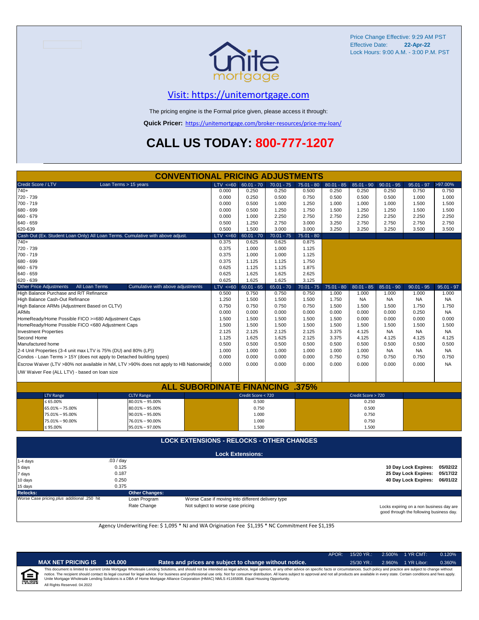

### [V](https://unitemortgage.com/)isit: https://unitemortgage.com

The pricing engine is the Formal price given, please access it through:

**Quick Pricer:** [https://un](https://unitemortgage.com/broker-resources/price-my-loan/)itemortgage.com/broker-resources/price-my-loan/

## **CALL US TODAY: 800-777-1207**

|                                                    |                                                                                        | <b>CONVENTIONAL PRICING ADJUSTMENTS</b>          |             |                         |              |              |              |                    |              |                      |              |
|----------------------------------------------------|----------------------------------------------------------------------------------------|--------------------------------------------------|-------------|-------------------------|--------------|--------------|--------------|--------------------|--------------|----------------------|--------------|
| Credit Score / LTV                                 | Loan Terms > 15 years                                                                  |                                                  | LTV < 60    | $60.01 - 70$            | $70.01 - 75$ | $75.01 - 80$ | $80.01 - 85$ | $85.01 - 90$       | $90.01 - 95$ | $95.01 - 97$         | >97.00%      |
| $740+$                                             |                                                                                        |                                                  | 0.000       | 0.250                   | 0.250        | 0.500        | 0.250        | 0.250              | 0.250        | 0.750                | 0.750        |
| 720 - 739                                          |                                                                                        |                                                  | 0.000       | 0.250                   | 0.500        | 0.750        | 0.500        | 0.500              | 0.500        | 1.000                | 1.000        |
| 700 - 719                                          |                                                                                        |                                                  | 0.000       | 0.500                   | 1.000        | 1.250        | 1.000        | 1.000              | 1.000        | 1.500                | 1.500        |
| 680 - 699                                          |                                                                                        |                                                  | 0.000       | 0.500                   | 1.250        | 1.750        | 1.500        | 1.250              | 1.250        | 1.500                | 1.500        |
| 660 - 679                                          |                                                                                        |                                                  | 0.000       | 1.000                   | 2.250        | 2.750        | 2.750        | 2.250              | 2.250        | 2.250                | 2.250        |
| 640 - 659                                          |                                                                                        |                                                  | 0.500       | 1.250                   | 2.750        | 3.000        | 3.250        | 2.750              | 2.750        | 2.750                | 2.750        |
| 620-639                                            |                                                                                        |                                                  | 0.500       | 1.500                   | 3.000        | 3.000        | 3.250        | 3.250              | 3.250        | 3.500                | 3.500        |
|                                                    | Cash Out (Ex. Student Loan Only) All Loan Terms. Cumulative with above adjust.         |                                                  | LTV < 60    | $60.01 - 70$            | $70.01 - 75$ | $75.01 - 80$ |              |                    |              |                      |              |
| $740+$                                             |                                                                                        |                                                  | 0.375       | 0.625                   | 0.625        | 0.875        |              |                    |              |                      |              |
| 720 - 739                                          |                                                                                        |                                                  | 0.375       | 1.000                   | 1.000        | 1.125        |              |                    |              |                      |              |
| 700 - 719                                          |                                                                                        |                                                  | 0.375       | 1.000                   | 1.000        | 1.125        |              |                    |              |                      |              |
| 680 - 699                                          |                                                                                        |                                                  | 0.375       | 1.125                   | 1.125        | 1.750        |              |                    |              |                      |              |
| 660 - 679                                          |                                                                                        |                                                  | 0.625       | 1.125                   | 1.125        | 1.875        |              |                    |              |                      |              |
| 640 - 659                                          |                                                                                        |                                                  | 0.625       | 1.625                   | 1.625        | 2.625        |              |                    |              |                      |              |
| 620 - 639                                          |                                                                                        |                                                  | 0.625       | 1.625                   | 1.625        | 3.125        |              |                    |              |                      |              |
| <b>Other Price Adjustments</b>                     | All Loan Terms                                                                         | Cumulative with above adjustments                | $LTV < =60$ | $60.01 - 65$            | $65.01 - 70$ | $70.01 - 75$ | $75.01 - 80$ | $80.01 - 85$       | $85.01 - 90$ | $90.01 - 95$         | $95.01 - 97$ |
| High Balance Purchase and R/T Refinance            |                                                                                        |                                                  | 0.500       | 0.750                   | 0.750        | 0.750        | 1.000        | 1.000              | 1.000        | 1.000                | 1.000        |
| High Balance Cash-Out Refinance                    |                                                                                        |                                                  | 1.250       | 1.500                   | 1.500        | 1.500        | 1.750        | <b>NA</b>          | <b>NA</b>    | NA                   | <b>NA</b>    |
| High Balance ARMs (Adjustment Based on CLTV)       |                                                                                        |                                                  | 0.750       | 0.750                   | 0.750        | 0.750        | 1.500        | 1.500              | 1.500        | 1.750                | 1.750        |
| <b>ARMs</b>                                        |                                                                                        |                                                  | 0.000       | 0.000                   | 0.000        | 0.000        | 0.000        | 0.000              | 0.000        | 0.250                | <b>NA</b>    |
| HomeReady/Home Possible FICO >=680 Adjustment Caps |                                                                                        |                                                  | 1.500       | 1.500                   | 1.500        | 1.500        | 1.500        | 0.000              | 0.000        | 0.000                | 0.000        |
| HomeReady/Home Possible FICO <680 Adjustment Caps  |                                                                                        |                                                  | 1.500       | 1.500                   | 1.500        | 1.500        | 1.500        | 1.500              | 1.500        | 1.500                | 1.500        |
| <b>Investment Properties</b>                       |                                                                                        |                                                  | 2.125       | 2.125                   | 2.125        | 2.125        | 3.375        | 4.125              | <b>NA</b>    | <b>NA</b>            | NA.          |
| Second Home                                        |                                                                                        |                                                  | 1.125       | 1.625                   | 1.625        | 2.125        | 3.375        | 4.125              | 4.125        | 4.125                | 4.125        |
| Manufactured home                                  |                                                                                        |                                                  | 0.500       | 0.500                   | 0.500        | 0.500        | 0.500        | 0.500              | 0.500        | 0.500                | 0.500        |
|                                                    | 2-4 Unit Properties (3-4 unit max LTV is 75% (DU) and 80% (LP))                        |                                                  | 1.000       | 1.000                   | 1.000        | 1.000        | 1.000        | 1.000              | NA           | <b>NA</b>            | NA           |
|                                                    | Condos - Loan Terms > 15Y (does not apply to Detached building types)                  |                                                  | 0.000       | 0.000                   | 0.000        | 0.000        | 0.750        | 0.750              | 0.750        | 0.750                | 0.750        |
|                                                    | Escrow Waiver (LTV >80% not available in NM, LTV >90% does not apply to HB Nationwide) |                                                  | 0.000       | 0.000                   | 0.000        | 0.000        | 0.000        | 0.000              | 0.000        | 0.000                | <b>NA</b>    |
|                                                    |                                                                                        |                                                  |             |                         |              |              |              |                    |              |                      |              |
| UW Waiver Fee (ALL LTV) - based on loan size       |                                                                                        |                                                  |             |                         |              |              |              |                    |              |                      |              |
|                                                    |                                                                                        |                                                  |             |                         |              |              |              |                    |              |                      |              |
|                                                    |                                                                                        | <b>ALL SUBORDINATE FINANCING</b>                 |             |                         |              | .375%        |              |                    |              |                      |              |
| <b>LTV Range</b>                                   | <b>CLTV Range</b>                                                                      |                                                  |             | Credit Score < 720      |              |              |              | Credit Score > 720 |              |                      |              |
| $\leq 65.00\%$                                     | $80.01\% - 95.00\%$                                                                    |                                                  |             | 0.500                   |              |              |              | 0.250              |              |                      |              |
| 65.01% - 75.00%                                    | $80.01\% - 95.00\%$                                                                    |                                                  |             | 0.750                   |              |              |              | 0.500              |              |                      |              |
| 75.01% - 95.00%                                    | $90.01\% - 95.00\%$                                                                    |                                                  |             | 1.000                   |              |              |              | 0.750              |              |                      |              |
| 75.01% - 90.00%                                    | 76.01% - 90.00%                                                                        |                                                  |             | 1.000                   |              |              |              | 0.750              |              |                      |              |
| $\leq 95.00\%$                                     | 95.01% - 97.00%                                                                        |                                                  |             | 1.500                   |              |              |              | 1.500              |              |                      |              |
|                                                    |                                                                                        | <b>LOCK EXTENSIONS - RELOCKS - OTHER CHANGES</b> |             |                         |              |              |              |                    |              |                      |              |
|                                                    |                                                                                        |                                                  |             |                         |              |              |              |                    |              |                      |              |
|                                                    |                                                                                        |                                                  |             | <b>Lock Extensions:</b> |              |              |              |                    |              |                      |              |
| 1-4 days                                           | .03 / day                                                                              |                                                  |             |                         |              |              |              |                    |              |                      |              |
| 5 days                                             | 0.125                                                                                  |                                                  |             |                         |              |              |              |                    |              | 10 Day Lock Expires: | 05/02/22     |
| 7 days                                             | 0.187                                                                                  |                                                  |             |                         |              |              |              |                    |              | 25 Day Lock Expires: | 05/17/22     |
| 10 days                                            | 0.250                                                                                  |                                                  |             |                         |              |              |              |                    |              | 40 Day Lock Expires: | 06/01/22     |
| 15 days                                            | 0.375                                                                                  |                                                  |             |                         |              |              |              |                    |              |                      |              |

**Relocks: Other Changes:**

Loan Program *plus* Worse Case if moving into different delivery type

Rate Change Not subject to worse case pricing

Locks expiring on a non business day are good through the following business day.

Agency Underwriting Fee: \$ 1,095 \* NJ and WA Origination Fee \$1,195 \* NC Commitment Fee \$1,195

| m |
|---|
|   |

|  |  | ET PRICING IS | 104.000 |  |
|--|--|---------------|---------|--|
|--|--|---------------|---------|--|

**MAX NET PRICING IS 104.000 Rates and prices are subject to change without notice.** 25/30 YR.: 2.960% 1 YR Libor: 0.360%

APOR: 15/20 YR.: 2.500% 1 YR CMT: 0.120%

All Rights Reserved. 04.2022 This document is limited to current Unite Mortgage Wholesale Lending Solutions, and should not be intended as legal advice, legal opinion, or any other advice on specific facts or circumstances. Such policy and practice ar